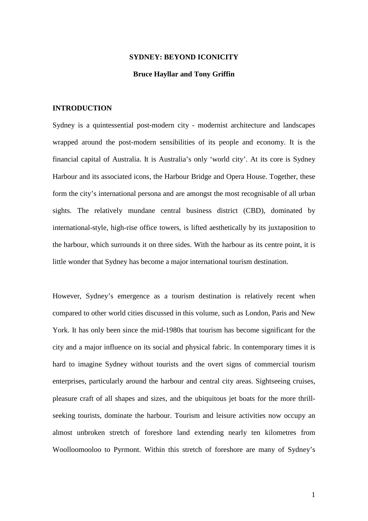#### **SYDNEY: BEYOND ICONICITY**

#### **Bruce Hayllar and Tony Griffin**

# **INTRODUCTION**

Sydney is a quintessential post-modern city - modernist architecture and landscapes wrapped around the post-modern sensibilities of its people and economy. It is the financial capital of Australia. It is Australia's only 'world city'. At its core is Sydney Harbour and its associated icons, the Harbour Bridge and Opera House. Together, these form the city's international persona and are amongst the most recognisable of all urban sights. The relatively mundane central business district (CBD), dominated by international-style, high-rise office towers, is lifted aesthetically by its juxtaposition to the harbour, which surrounds it on three sides. With the harbour as its centre point, it is little wonder that Sydney has become a major international tourism destination.

However, Sydney's emergence as a tourism destination is relatively recent when compared to other world cities discussed in this volume, such as London, Paris and New York. It has only been since the mid-1980s that tourism has become significant for the city and a major influence on its social and physical fabric. In contemporary times it is hard to imagine Sydney without tourists and the overt signs of commercial tourism enterprises, particularly around the harbour and central city areas. Sightseeing cruises, pleasure craft of all shapes and sizes, and the ubiquitous jet boats for the more thrillseeking tourists, dominate the harbour. Tourism and leisure activities now occupy an almost unbroken stretch of foreshore land extending nearly ten kilometres from Woolloomooloo to Pyrmont. Within this stretch of foreshore are many of Sydney's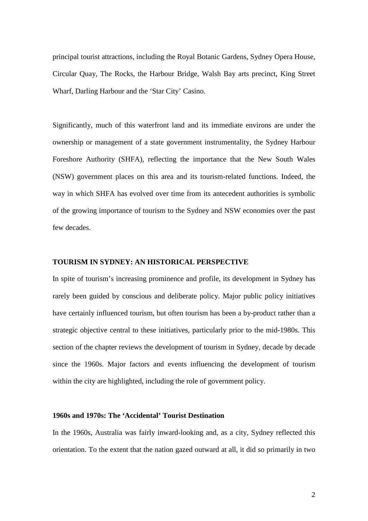principal tourist attractions, including the Royal Botanic Gardens, Sydney Opera House, Circular Quay, The Rocks, the Harbour Bridge, Walsh Bay arts precinct, King Street Wharf, Darling Harbour and the 'Star City' Casino.

Significantly, much of this waterfront land and its immediate environs are under the ownership or management of a state government instrumentality, the Sydney Harbour Foreshore Authority (SHFA), reflecting the importance that the New South Wales (NSW) government places on this area and its tourism-related functions. Indeed, the way in which SHFA has evolved over time from its antecedent authorities is symbolic of the growing importance of tourism to the Sydney and NSW economies over the past few decades.

# **TOURISM IN SYDNEY: AN HISTORICAL PERSPECTIVE**

In spite of tourism's increasing prominence and profile, its development in Sydney has rarely been guided by conscious and deliberate policy. Major public policy initiatives have certainly influenced tourism, but often tourism has been a by-product rather than a strategic objective central to these initiatives, particularly prior to the mid-1980s. This section of the chapter reviews the development of tourism in Sydney, decade by decade since the 1960s. Major factors and events influencing the development of tourism within the city are highlighted, including the role of government policy.

## **1960s and 1970s: The 'Accidental' Tourist Destination**

In the 1960s, Australia was fairly inward-looking and, as a city, Sydney reflected this orientation. To the extent that the nation gazed outward at all, it did so primarily in two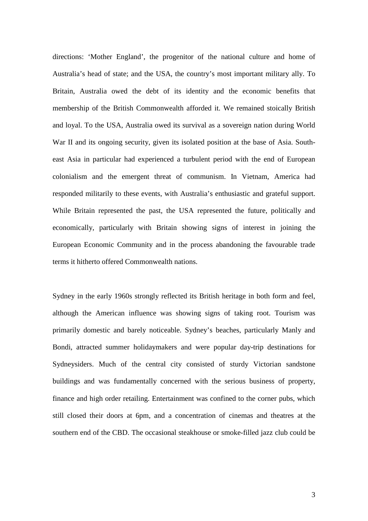directions: 'Mother England', the progenitor of the national culture and home of Australia's head of state; and the USA, the country's most important military ally. To Britain, Australia owed the debt of its identity and the economic benefits that membership of the British Commonwealth afforded it. We remained stoically British and loyal. To the USA, Australia owed its survival as a sovereign nation during World War II and its ongoing security, given its isolated position at the base of Asia. Southeast Asia in particular had experienced a turbulent period with the end of European colonialism and the emergent threat of communism. In Vietnam, America had responded militarily to these events, with Australia's enthusiastic and grateful support. While Britain represented the past, the USA represented the future, politically and economically, particularly with Britain showing signs of interest in joining the European Economic Community and in the process abandoning the favourable trade terms it hitherto offered Commonwealth nations.

Sydney in the early 1960s strongly reflected its British heritage in both form and feel, although the American influence was showing signs of taking root. Tourism was primarily domestic and barely noticeable. Sydney's beaches, particularly Manly and Bondi, attracted summer holidaymakers and were popular day-trip destinations for Sydneysiders. Much of the central city consisted of sturdy Victorian sandstone buildings and was fundamentally concerned with the serious business of property, finance and high order retailing. Entertainment was confined to the corner pubs, which still closed their doors at 6pm, and a concentration of cinemas and theatres at the southern end of the CBD. The occasional steakhouse or smoke-filled jazz club could be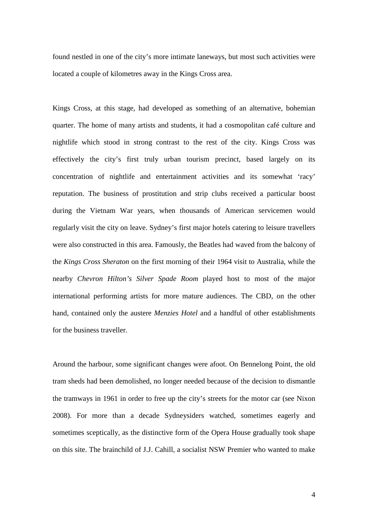found nestled in one of the city's more intimate laneways, but most such activities were located a couple of kilometres away in the Kings Cross area.

Kings Cross, at this stage, had developed as something of an alternative, bohemian quarter. The home of many artists and students, it had a cosmopolitan café culture and nightlife which stood in strong contrast to the rest of the city. Kings Cross was effectively the city's first truly urban tourism precinct, based largely on its concentration of nightlife and entertainment activities and its somewhat 'racy' reputation. The business of prostitution and strip clubs received a particular boost during the Vietnam War years, when thousands of American servicemen would regularly visit the city on leave. Sydney's first major hotels catering to leisure travellers were also constructed in this area. Famously, the Beatles had waved from the balcony of the *Kings Cross Sheraton* on the first morning of their 1964 visit to Australia, while the nearby *Chevron Hilton's Silver Spade Room* played host to most of the major international performing artists for more mature audiences. The CBD, on the other hand, contained only the austere *Menzies Hotel* and a handful of other establishments for the business traveller.

Around the harbour, some significant changes were afoot. On Bennelong Point, the old tram sheds had been demolished, no longer needed because of the decision to dismantle the tramways in 1961 in order to free up the city's streets for the motor car (see Nixon 2008). For more than a decade Sydneysiders watched, sometimes eagerly and sometimes sceptically, as the distinctive form of the Opera House gradually took shape on this site. The brainchild of J.J. Cahill, a socialist NSW Premier who wanted to make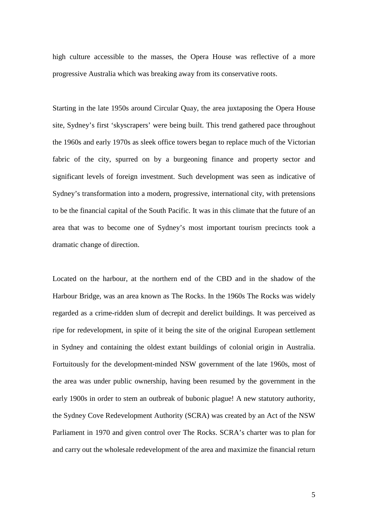high culture accessible to the masses, the Opera House was reflective of a more progressive Australia which was breaking away from its conservative roots.

Starting in the late 1950s around Circular Quay, the area juxtaposing the Opera House site, Sydney's first 'skyscrapers' were being built. This trend gathered pace throughout the 1960s and early 1970s as sleek office towers began to replace much of the Victorian fabric of the city, spurred on by a burgeoning finance and property sector and significant levels of foreign investment. Such development was seen as indicative of Sydney's transformation into a modern, progressive, international city, with pretensions to be the financial capital of the South Pacific. It was in this climate that the future of an area that was to become one of Sydney's most important tourism precincts took a dramatic change of direction.

Located on the harbour, at the northern end of the CBD and in the shadow of the Harbour Bridge, was an area known as The Rocks. In the 1960s The Rocks was widely regarded as a crime-ridden slum of decrepit and derelict buildings. It was perceived as ripe for redevelopment, in spite of it being the site of the original European settlement in Sydney and containing the oldest extant buildings of colonial origin in Australia. Fortuitously for the development-minded NSW government of the late 1960s, most of the area was under public ownership, having been resumed by the government in the early 1900s in order to stem an outbreak of bubonic plague! A new statutory authority, the Sydney Cove Redevelopment Authority (SCRA) was created by an Act of the NSW Parliament in 1970 and given control over The Rocks. SCRA's charter was to plan for and carry out the wholesale redevelopment of the area and maximize the financial return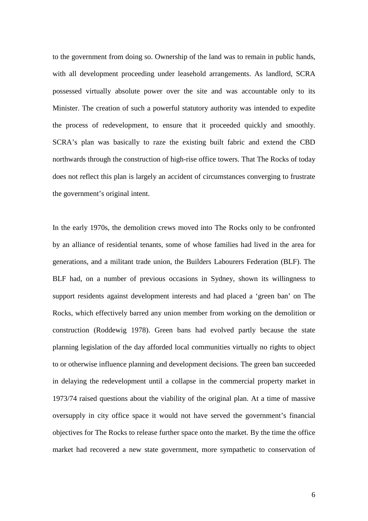to the government from doing so. Ownership of the land was to remain in public hands, with all development proceeding under leasehold arrangements. As landlord, SCRA possessed virtually absolute power over the site and was accountable only to its Minister. The creation of such a powerful statutory authority was intended to expedite the process of redevelopment, to ensure that it proceeded quickly and smoothly. SCRA's plan was basically to raze the existing built fabric and extend the CBD northwards through the construction of high-rise office towers. That The Rocks of today does not reflect this plan is largely an accident of circumstances converging to frustrate the government's original intent.

In the early 1970s, the demolition crews moved into The Rocks only to be confronted by an alliance of residential tenants, some of whose families had lived in the area for generations, and a militant trade union, the Builders Labourers Federation (BLF). The BLF had, on a number of previous occasions in Sydney, shown its willingness to support residents against development interests and had placed a 'green ban' on The Rocks, which effectively barred any union member from working on the demolition or construction (Roddewig 1978). Green bans had evolved partly because the state planning legislation of the day afforded local communities virtually no rights to object to or otherwise influence planning and development decisions. The green ban succeeded in delaying the redevelopment until a collapse in the commercial property market in 1973/74 raised questions about the viability of the original plan. At a time of massive oversupply in city office space it would not have served the government's financial objectives for The Rocks to release further space onto the market. By the time the office market had recovered a new state government, more sympathetic to conservation of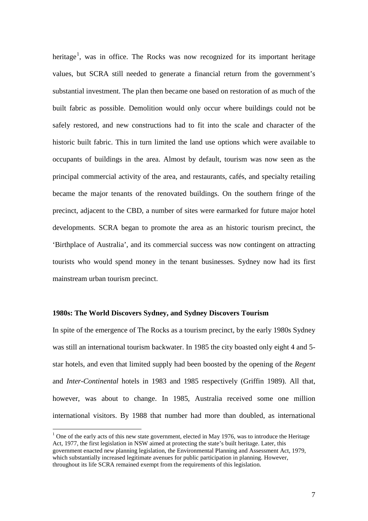heritage<sup>[1](#page-6-0)</sup>, was in office. The Rocks was now recognized for its important heritage values, but SCRA still needed to generate a financial return from the government's substantial investment. The plan then became one based on restoration of as much of the built fabric as possible. Demolition would only occur where buildings could not be safely restored, and new constructions had to fit into the scale and character of the historic built fabric. This in turn limited the land use options which were available to occupants of buildings in the area. Almost by default, tourism was now seen as the principal commercial activity of the area, and restaurants, cafés, and specialty retailing became the major tenants of the renovated buildings. On the southern fringe of the precinct, adjacent to the CBD, a number of sites were earmarked for future major hotel developments. SCRA began to promote the area as an historic tourism precinct, the 'Birthplace of Australia', and its commercial success was now contingent on attracting tourists who would spend money in the tenant businesses. Sydney now had its first mainstream urban tourism precinct.

## **1980s: The World Discovers Sydney, and Sydney Discovers Tourism**

In spite of the emergence of The Rocks as a tourism precinct, by the early 1980s Sydney was still an international tourism backwater. In 1985 the city boasted only eight 4 and 5 star hotels, and even that limited supply had been boosted by the opening of the *Regent* and *Inter-Continental* hotels in 1983 and 1985 respectively (Griffin 1989). All that, however, was about to change. In 1985, Australia received some one million international visitors. By 1988 that number had more than doubled, as international

<span id="page-6-0"></span> $1$  One of the early acts of this new state government, elected in May 1976, was to introduce the Heritage Act, 1977, the first legislation in NSW aimed at protecting the state's built heritage. Later, this government enacted new planning legislation, the Environmental Planning and Assessment Act, 1979, which substantially increased legitimate avenues for public participation in planning. However, throughout its life SCRA remained exempt from the requirements of this legislation.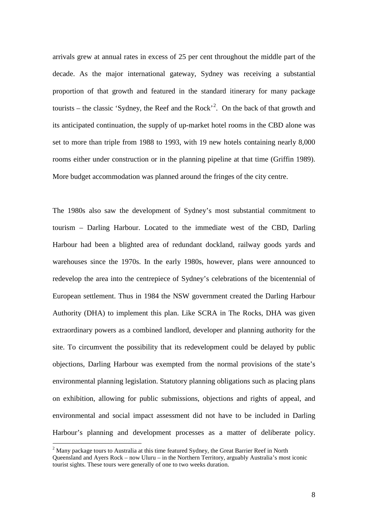arrivals grew at annual rates in excess of 25 per cent throughout the middle part of the decade. As the major international gateway, Sydney was receiving a substantial proportion of that growth and featured in the standard itinerary for many package tourists – the classic 'Sydney, the Reef and the Rock'<sup>[2](#page-7-0)</sup>. On the back of that growth and its anticipated continuation, the supply of up-market hotel rooms in the CBD alone was set to more than triple from 1988 to 1993, with 19 new hotels containing nearly 8,000 rooms either under construction or in the planning pipeline at that time (Griffin 1989). More budget accommodation was planned around the fringes of the city centre.

The 1980s also saw the development of Sydney's most substantial commitment to tourism – Darling Harbour. Located to the immediate west of the CBD, Darling Harbour had been a blighted area of redundant dockland, railway goods yards and warehouses since the 1970s. In the early 1980s, however, plans were announced to redevelop the area into the centrepiece of Sydney's celebrations of the bicentennial of European settlement. Thus in 1984 the NSW government created the Darling Harbour Authority (DHA) to implement this plan. Like SCRA in The Rocks, DHA was given extraordinary powers as a combined landlord, developer and planning authority for the site. To circumvent the possibility that its redevelopment could be delayed by public objections, Darling Harbour was exempted from the normal provisions of the state's environmental planning legislation. Statutory planning obligations such as placing plans on exhibition, allowing for public submissions, objections and rights of appeal, and environmental and social impact assessment did not have to be included in Darling Harbour's planning and development processes as a matter of deliberate policy.

<span id="page-7-0"></span> $2$  Many package tours to Australia at this time featured Sydney, the Great Barrier Reef in North Queensland and Ayers Rock – now Uluru – in the Northern Territory, arguably Australia's most iconic tourist sights. These tours were generally of one to two weeks duration.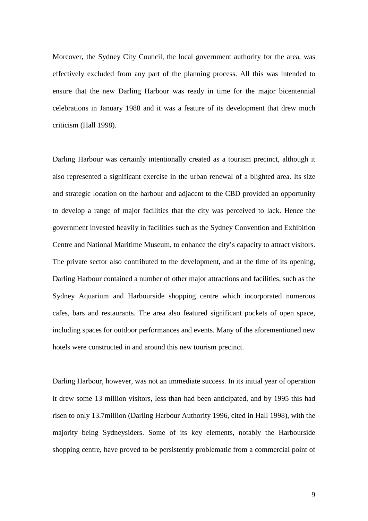Moreover, the Sydney City Council, the local government authority for the area, was effectively excluded from any part of the planning process. All this was intended to ensure that the new Darling Harbour was ready in time for the major bicentennial celebrations in January 1988 and it was a feature of its development that drew much criticism (Hall 1998).

Darling Harbour was certainly intentionally created as a tourism precinct, although it also represented a significant exercise in the urban renewal of a blighted area. Its size and strategic location on the harbour and adjacent to the CBD provided an opportunity to develop a range of major facilities that the city was perceived to lack. Hence the government invested heavily in facilities such as the Sydney Convention and Exhibition Centre and National Maritime Museum, to enhance the city's capacity to attract visitors. The private sector also contributed to the development, and at the time of its opening, Darling Harbour contained a number of other major attractions and facilities, such as the Sydney Aquarium and Harbourside shopping centre which incorporated numerous cafes, bars and restaurants. The area also featured significant pockets of open space, including spaces for outdoor performances and events. Many of the aforementioned new hotels were constructed in and around this new tourism precinct.

Darling Harbour, however, was not an immediate success. In its initial year of operation it drew some 13 million visitors, less than had been anticipated, and by 1995 this had risen to only 13.7million (Darling Harbour Authority 1996, cited in Hall 1998), with the majority being Sydneysiders. Some of its key elements, notably the Harbourside shopping centre, have proved to be persistently problematic from a commercial point of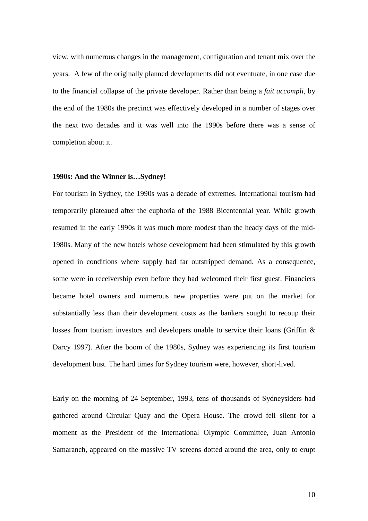view, with numerous changes in the management, configuration and tenant mix over the years. A few of the originally planned developments did not eventuate, in one case due to the financial collapse of the private developer. Rather than being a *fait accompli,* by the end of the 1980s the precinct was effectively developed in a number of stages over the next two decades and it was well into the 1990s before there was a sense of completion about it.

#### **1990s: And the Winner is…Sydney!**

For tourism in Sydney, the 1990s was a decade of extremes. International tourism had temporarily plateaued after the euphoria of the 1988 Bicentennial year. While growth resumed in the early 1990s it was much more modest than the heady days of the mid-1980s. Many of the new hotels whose development had been stimulated by this growth opened in conditions where supply had far outstripped demand. As a consequence, some were in receivership even before they had welcomed their first guest. Financiers became hotel owners and numerous new properties were put on the market for substantially less than their development costs as the bankers sought to recoup their losses from tourism investors and developers unable to service their loans (Griffin & Darcy 1997). After the boom of the 1980s, Sydney was experiencing its first tourism development bust. The hard times for Sydney tourism were, however, short-lived.

Early on the morning of 24 September, 1993, tens of thousands of Sydneysiders had gathered around Circular Quay and the Opera House. The crowd fell silent for a moment as the President of the International Olympic Committee, Juan Antonio Samaranch, appeared on the massive TV screens dotted around the area, only to erupt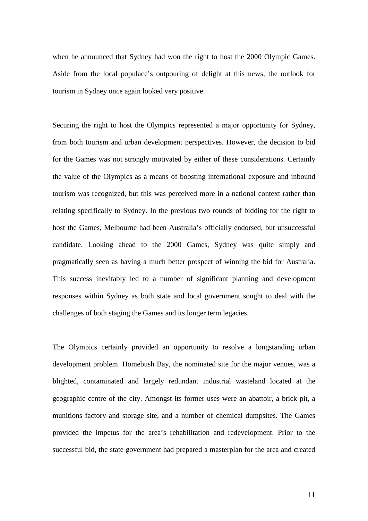when he announced that Sydney had won the right to host the 2000 Olympic Games. Aside from the local populace's outpouring of delight at this news, the outlook for tourism in Sydney once again looked very positive.

Securing the right to host the Olympics represented a major opportunity for Sydney, from both tourism and urban development perspectives. However, the decision to bid for the Games was not strongly motivated by either of these considerations. Certainly the value of the Olympics as a means of boosting international exposure and inbound tourism was recognized, but this was perceived more in a national context rather than relating specifically to Sydney. In the previous two rounds of bidding for the right to host the Games, Melbourne had been Australia's officially endorsed, but unsuccessful candidate. Looking ahead to the 2000 Games, Sydney was quite simply and pragmatically seen as having a much better prospect of winning the bid for Australia. This success inevitably led to a number of significant planning and development responses within Sydney as both state and local government sought to deal with the challenges of both staging the Games and its longer term legacies.

The Olympics certainly provided an opportunity to resolve a longstanding urban development problem. Homebush Bay, the nominated site for the major venues, was a blighted, contaminated and largely redundant industrial wasteland located at the geographic centre of the city. Amongst its former uses were an abattoir, a brick pit, a munitions factory and storage site, and a number of chemical dumpsites. The Games provided the impetus for the area's rehabilitation and redevelopment. Prior to the successful bid, the state government had prepared a masterplan for the area and created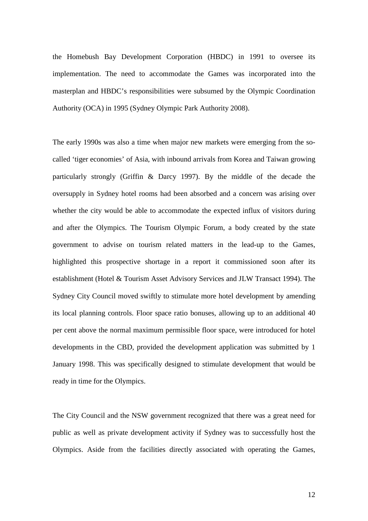the Homebush Bay Development Corporation (HBDC) in 1991 to oversee its implementation. The need to accommodate the Games was incorporated into the masterplan and HBDC's responsibilities were subsumed by the Olympic Coordination Authority (OCA) in 1995 (Sydney Olympic Park Authority 2008).

The early 1990s was also a time when major new markets were emerging from the socalled 'tiger economies' of Asia, with inbound arrivals from Korea and Taiwan growing particularly strongly (Griffin & Darcy 1997). By the middle of the decade the oversupply in Sydney hotel rooms had been absorbed and a concern was arising over whether the city would be able to accommodate the expected influx of visitors during and after the Olympics. The Tourism Olympic Forum, a body created by the state government to advise on tourism related matters in the lead-up to the Games, highlighted this prospective shortage in a report it commissioned soon after its establishment (Hotel & Tourism Asset Advisory Services and JLW Transact 1994). The Sydney City Council moved swiftly to stimulate more hotel development by amending its local planning controls. Floor space ratio bonuses, allowing up to an additional 40 per cent above the normal maximum permissible floor space, were introduced for hotel developments in the CBD, provided the development application was submitted by 1 January 1998. This was specifically designed to stimulate development that would be ready in time for the Olympics.

The City Council and the NSW government recognized that there was a great need for public as well as private development activity if Sydney was to successfully host the Olympics. Aside from the facilities directly associated with operating the Games,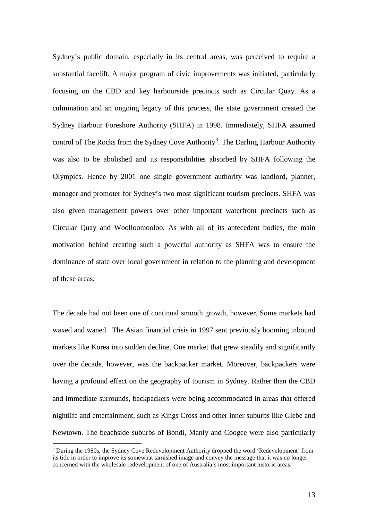Sydney's public domain, especially in its central areas, was perceived to require a substantial facelift. A major program of civic improvements was initiated, particularly focusing on the CBD and key harbourside precincts such as Circular Quay. As a culmination and an ongoing legacy of this process, the state government created the Sydney Harbour Foreshore Authority (SHFA) in 1998. Immediately, SHFA assumed control of The Rocks from the Sydney Cove Authority<sup>[3](#page-12-0)</sup>. The Darling Harbour Authority was also to be abolished and its responsibilities absorbed by SHFA following the Olympics. Hence by 2001 one single government authority was landlord, planner, manager and promoter for Sydney's two most significant tourism precincts. SHFA was also given management powers over other important waterfront precincts such as Circular Quay and Woolloomooloo. As with all of its antecedent bodies, the main motivation behind creating such a powerful authority as SHFA was to ensure the dominance of state over local government in relation to the planning and development of these areas.

The decade had not been one of continual smooth growth, however. Some markets had waxed and waned. The Asian financial crisis in 1997 sent previously booming inbound markets like Korea into sudden decline. One market that grew steadily and significantly over the decade, however, was the backpacker market. Moreover, backpackers were having a profound effect on the geography of tourism in Sydney. Rather than the CBD and immediate surrounds, backpackers were being accommodated in areas that offered nightlife and entertainment, such as Kings Cross and other inner suburbs like Glebe and Newtown. The beachside suburbs of Bondi, Manly and Coogee were also particularly

<span id="page-12-0"></span> $3$  During the 1980s, the Sydney Cove Redevelopment Authority dropped the word 'Redevelopment' from its title in order to improve its somewhat tarnished image and convey the message that it was no longer concerned with the wholesale redevelopment of one of Australia's most important historic areas.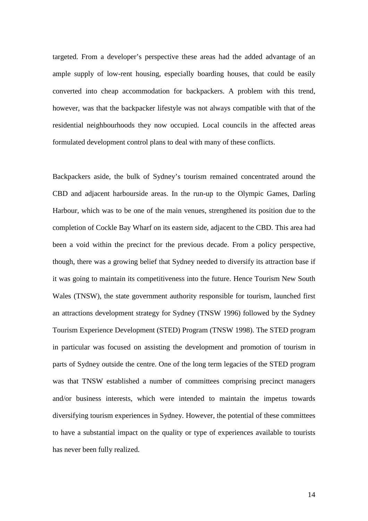targeted. From a developer's perspective these areas had the added advantage of an ample supply of low-rent housing, especially boarding houses, that could be easily converted into cheap accommodation for backpackers. A problem with this trend, however, was that the backpacker lifestyle was not always compatible with that of the residential neighbourhoods they now occupied. Local councils in the affected areas formulated development control plans to deal with many of these conflicts.

Backpackers aside, the bulk of Sydney's tourism remained concentrated around the CBD and adjacent harbourside areas. In the run-up to the Olympic Games, Darling Harbour, which was to be one of the main venues, strengthened its position due to the completion of Cockle Bay Wharf on its eastern side, adjacent to the CBD. This area had been a void within the precinct for the previous decade. From a policy perspective, though, there was a growing belief that Sydney needed to diversify its attraction base if it was going to maintain its competitiveness into the future. Hence Tourism New South Wales (TNSW), the state government authority responsible for tourism, launched first an attractions development strategy for Sydney (TNSW 1996) followed by the Sydney Tourism Experience Development (STED) Program (TNSW 1998). The STED program in particular was focused on assisting the development and promotion of tourism in parts of Sydney outside the centre. One of the long term legacies of the STED program was that TNSW established a number of committees comprising precinct managers and/or business interests, which were intended to maintain the impetus towards diversifying tourism experiences in Sydney. However, the potential of these committees to have a substantial impact on the quality or type of experiences available to tourists has never been fully realized.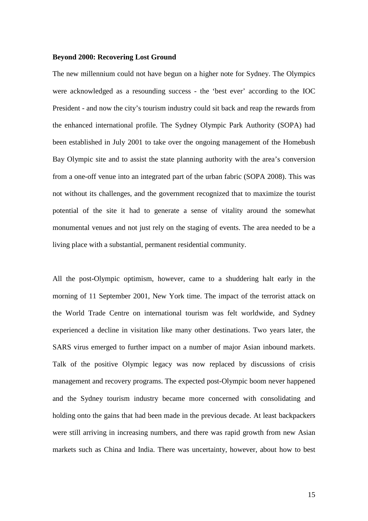## **Beyond 2000: Recovering Lost Ground**

The new millennium could not have begun on a higher note for Sydney. The Olympics were acknowledged as a resounding success - the 'best ever' according to the IOC President - and now the city's tourism industry could sit back and reap the rewards from the enhanced international profile. The Sydney Olympic Park Authority (SOPA) had been established in July 2001 to take over the ongoing management of the Homebush Bay Olympic site and to assist the state planning authority with the area's conversion from a one-off venue into an integrated part of the urban fabric (SOPA 2008). This was not without its challenges, and the government recognized that to maximize the tourist potential of the site it had to generate a sense of vitality around the somewhat monumental venues and not just rely on the staging of events. The area needed to be a living place with a substantial, permanent residential community.

All the post-Olympic optimism, however, came to a shuddering halt early in the morning of 11 September 2001, New York time. The impact of the terrorist attack on the World Trade Centre on international tourism was felt worldwide, and Sydney experienced a decline in visitation like many other destinations. Two years later, the SARS virus emerged to further impact on a number of major Asian inbound markets. Talk of the positive Olympic legacy was now replaced by discussions of crisis management and recovery programs. The expected post-Olympic boom never happened and the Sydney tourism industry became more concerned with consolidating and holding onto the gains that had been made in the previous decade. At least backpackers were still arriving in increasing numbers, and there was rapid growth from new Asian markets such as China and India. There was uncertainty, however, about how to best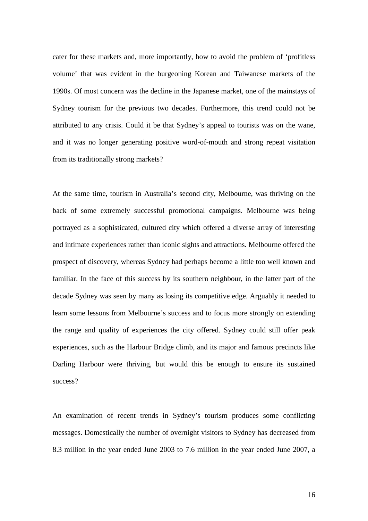cater for these markets and, more importantly, how to avoid the problem of 'profitless volume' that was evident in the burgeoning Korean and Taiwanese markets of the 1990s. Of most concern was the decline in the Japanese market, one of the mainstays of Sydney tourism for the previous two decades. Furthermore, this trend could not be attributed to any crisis. Could it be that Sydney's appeal to tourists was on the wane, and it was no longer generating positive word-of-mouth and strong repeat visitation from its traditionally strong markets?

At the same time, tourism in Australia's second city, Melbourne, was thriving on the back of some extremely successful promotional campaigns. Melbourne was being portrayed as a sophisticated, cultured city which offered a diverse array of interesting and intimate experiences rather than iconic sights and attractions. Melbourne offered the prospect of discovery, whereas Sydney had perhaps become a little too well known and familiar. In the face of this success by its southern neighbour, in the latter part of the decade Sydney was seen by many as losing its competitive edge. Arguably it needed to learn some lessons from Melbourne's success and to focus more strongly on extending the range and quality of experiences the city offered. Sydney could still offer peak experiences, such as the Harbour Bridge climb, and its major and famous precincts like Darling Harbour were thriving, but would this be enough to ensure its sustained success?

An examination of recent trends in Sydney's tourism produces some conflicting messages. Domestically the number of overnight visitors to Sydney has decreased from 8.3 million in the year ended June 2003 to 7.6 million in the year ended June 2007, a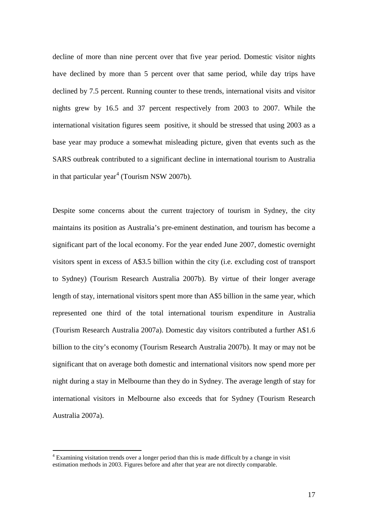decline of more than nine percent over that five year period. Domestic visitor nights have declined by more than 5 percent over that same period, while day trips have declined by 7.5 percent. Running counter to these trends, international visits and visitor nights grew by 16.5 and 37 percent respectively from 2003 to 2007. While the international visitation figures seem positive, it should be stressed that using 2003 as a base year may produce a somewhat misleading picture, given that events such as the SARS outbreak contributed to a significant decline in international tourism to Australia in that particular year<sup>[4](#page-16-0)</sup> (Tourism NSW 2007b).

Despite some concerns about the current trajectory of tourism in Sydney, the city maintains its position as Australia's pre-eminent destination, and tourism has become a significant part of the local economy. For the year ended June 2007, domestic overnight visitors spent in excess of A\$3.5 billion within the city (i.e. excluding cost of transport to Sydney) (Tourism Research Australia 2007b). By virtue of their longer average length of stay, international visitors spent more than A\$5 billion in the same year, which represented one third of the total international tourism expenditure in Australia (Tourism Research Australia 2007a). Domestic day visitors contributed a further A\$1.6 billion to the city's economy (Tourism Research Australia 2007b). It may or may not be significant that on average both domestic and international visitors now spend more per night during a stay in Melbourne than they do in Sydney. The average length of stay for international visitors in Melbourne also exceeds that for Sydney (Tourism Research Australia 2007a).

<span id="page-16-0"></span> $<sup>4</sup>$  Examining visitation trends over a longer period than this is made difficult by a change in visit</sup> estimation methods in 2003. Figures before and after that year are not directly comparable.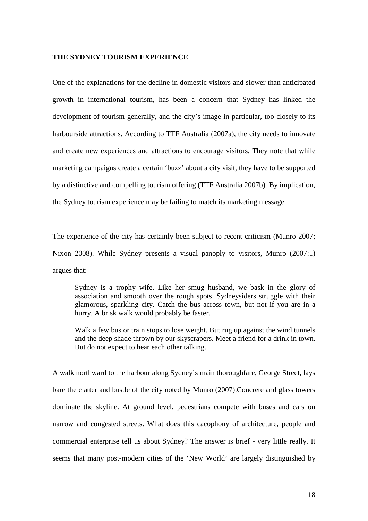## **THE SYDNEY TOURISM EXPERIENCE**

One of the explanations for the decline in domestic visitors and slower than anticipated growth in international tourism, has been a concern that Sydney has linked the development of tourism generally, and the city's image in particular, too closely to its harbourside attractions. According to TTF Australia (2007a), the city needs to innovate and create new experiences and attractions to encourage visitors. They note that while marketing campaigns create a certain 'buzz' about a city visit, they have to be supported by a distinctive and compelling tourism offering (TTF Australia 2007b). By implication, the Sydney tourism experience may be failing to match its marketing message.

The experience of the city has certainly been subject to recent criticism (Munro 2007; Nixon 2008). While Sydney presents a visual panoply to visitors, Munro (2007:1) argues that:

Sydney is a trophy wife. Like her smug husband, we bask in the glory of association and smooth over the rough spots. Sydneysiders struggle with their glamorous, sparkling city. Catch the bus across town, but not if you are in a hurry. A brisk walk would probably be faster.

Walk a few bus or train stops to lose weight. But rug up against the wind tunnels and the deep shade thrown by our skyscrapers. Meet a friend for a drink in town. But do not expect to hear each other talking.

A walk northward to the harbour along Sydney's main thoroughfare, George Street, lays bare the clatter and bustle of the city noted by Munro (2007).Concrete and glass towers dominate the skyline. At ground level, pedestrians compete with buses and cars on narrow and congested streets. What does this cacophony of architecture, people and commercial enterprise tell us about Sydney? The answer is brief - very little really. It seems that many post-modern cities of the 'New World' are largely distinguished by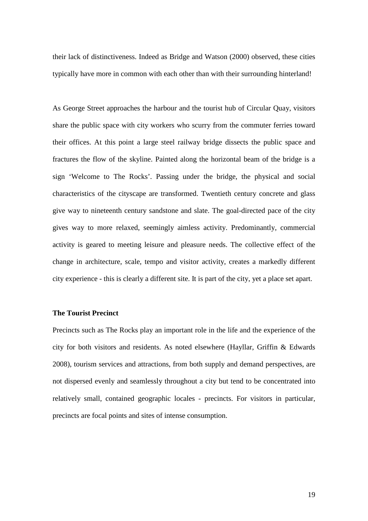their lack of distinctiveness. Indeed as Bridge and Watson (2000) observed, these cities typically have more in common with each other than with their surrounding hinterland!

As George Street approaches the harbour and the tourist hub of Circular Quay, visitors share the public space with city workers who scurry from the commuter ferries toward their offices. At this point a large steel railway bridge dissects the public space and fractures the flow of the skyline. Painted along the horizontal beam of the bridge is a sign 'Welcome to The Rocks'. Passing under the bridge, the physical and social characteristics of the cityscape are transformed. Twentieth century concrete and glass give way to nineteenth century sandstone and slate. The goal-directed pace of the city gives way to more relaxed, seemingly aimless activity. Predominantly, commercial activity is geared to meeting leisure and pleasure needs. The collective effect of the change in architecture, scale, tempo and visitor activity, creates a markedly different city experience - this is clearly a different site. It is part of the city, yet a place set apart.

# **The Tourist Precinct**

Precincts such as The Rocks play an important role in the life and the experience of the city for both visitors and residents. As noted elsewhere (Hayllar, Griffin & Edwards 2008), tourism services and attractions, from both supply and demand perspectives, are not dispersed evenly and seamlessly throughout a city but tend to be concentrated into relatively small, contained geographic locales - precincts. For visitors in particular, precincts are focal points and sites of intense consumption.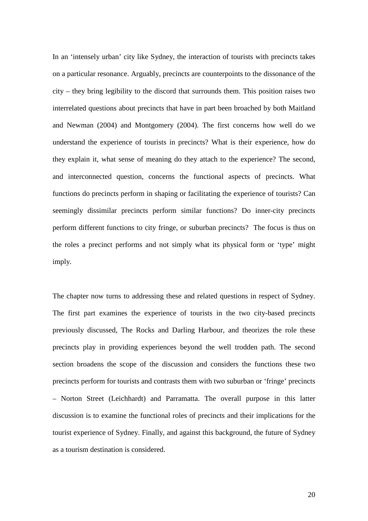In an 'intensely urban' city like Sydney, the interaction of tourists with precincts takes on a particular resonance. Arguably, precincts are counterpoints to the dissonance of the city – they bring legibility to the discord that surrounds them. This position raises two interrelated questions about precincts that have in part been broached by both Maitland and Newman (2004) and Montgomery (2004). The first concerns how well do we understand the experience of tourists in precincts? What is their experience, how do they explain it, what sense of meaning do they attach to the experience? The second, and interconnected question, concerns the functional aspects of precincts. What functions do precincts perform in shaping or facilitating the experience of tourists? Can seemingly dissimilar precincts perform similar functions? Do inner-city precincts perform different functions to city fringe, or suburban precincts? The focus is thus on the roles a precinct performs and not simply what its physical form or 'type' might imply.

The chapter now turns to addressing these and related questions in respect of Sydney. The first part examines the experience of tourists in the two city-based precincts previously discussed, The Rocks and Darling Harbour, and theorizes the role these precincts play in providing experiences beyond the well trodden path. The second section broadens the scope of the discussion and considers the functions these two precincts perform for tourists and contrasts them with two suburban or 'fringe' precincts – Norton Street (Leichhardt) and Parramatta. The overall purpose in this latter discussion is to examine the functional roles of precincts and their implications for the tourist experience of Sydney. Finally, and against this background, the future of Sydney as a tourism destination is considered.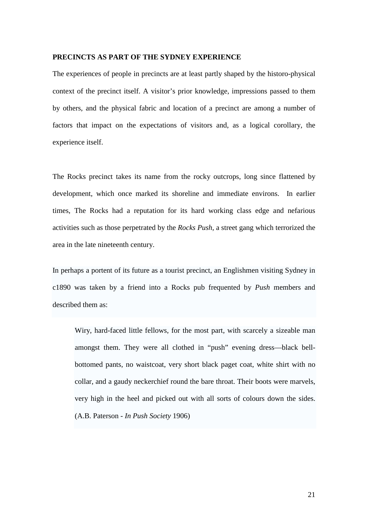## **PRECINCTS AS PART OF THE SYDNEY EXPERIENCE**

The experiences of people in precincts are at least partly shaped by the historo-physical context of the precinct itself. A visitor's prior knowledge, impressions passed to them by others, and the physical fabric and location of a precinct are among a number of factors that impact on the expectations of visitors and, as a logical corollary, the experience itself.

The Rocks precinct takes its name from the rocky outcrops, long since flattened by development, which once marked its shoreline and immediate environs. In earlier times, The Rocks had a reputation for its hard working class edge and nefarious activities such as those perpetrated by the *Rocks Push*, a street gang which terrorized the area in the late nineteenth century.

In perhaps a portent of its future as a tourist precinct, an Englishmen visiting Sydney in c1890 was taken by a friend into a Rocks pub frequented by *Push* members and described them as:

Wiry, hard-faced little fellows, for the most part, with scarcely a sizeable man amongst them. They were all clothed in "push" evening dress—black bellbottomed pants, no waistcoat, very short black paget coat, white shirt with no collar, and a gaudy neckerchief round the bare throat. Their boots were marvels, very high in the heel and picked out with all sorts of colours down the sides. (A.B. Paterson - *In Push Society* 1906)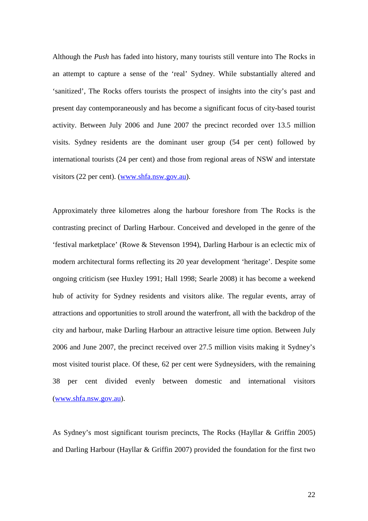Although the *Push* has faded into history, many tourists still venture into The Rocks in an attempt to capture a sense of the 'real' Sydney. While substantially altered and 'sanitized', The Rocks offers tourists the prospect of insights into the city's past and present day contemporaneously and has become a significant focus of city-based tourist activity. Between July 2006 and June 2007 the precinct recorded over 13.5 million visits. Sydney residents are the dominant user group (54 per cent) followed by international tourists (24 per cent) and those from regional areas of NSW and interstate visitors (22 per cent). [\(www.shfa.nsw.gov.au\)](http://www.shfa.nsw.gov.au/).

Approximately three kilometres along the harbour foreshore from The Rocks is the contrasting precinct of Darling Harbour. Conceived and developed in the genre of the 'festival marketplace' (Rowe & Stevenson 1994), Darling Harbour is an eclectic mix of modern architectural forms reflecting its 20 year development 'heritage'. Despite some ongoing criticism (see Huxley 1991; Hall 1998; Searle 2008) it has become a weekend hub of activity for Sydney residents and visitors alike. The regular events, array of attractions and opportunities to stroll around the waterfront, all with the backdrop of the city and harbour, make Darling Harbour an attractive leisure time option. Between July 2006 and June 2007, the precinct received over 27.5 million visits making it Sydney's most visited tourist place. Of these, 62 per cent were Sydneysiders, with the remaining 38 per cent divided evenly between domestic and international visitors [\(www.shfa.nsw.gov.au\)](http://www.shfa.nsw.gov.au/).

As Sydney's most significant tourism precincts, The Rocks (Hayllar & Griffin 2005) and Darling Harbour (Hayllar & Griffin 2007) provided the foundation for the first two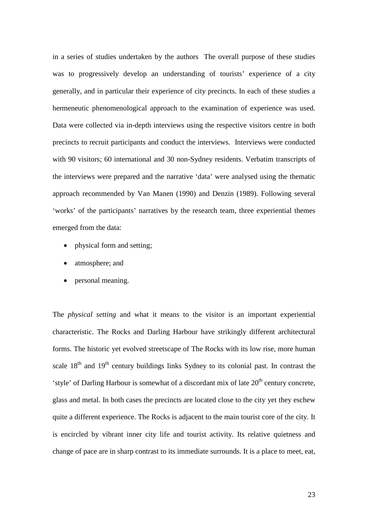in a series of studies undertaken by the authors The overall purpose of these studies was to progressively develop an understanding of tourists' experience of a city generally, and in particular their experience of city precincts. In each of these studies a hermeneutic phenomenological approach to the examination of experience was used. Data were collected via in-depth interviews using the respective visitors centre in both precincts to recruit participants and conduct the interviews. Interviews were conducted with 90 visitors; 60 international and 30 non-Sydney residents. Verbatim transcripts of the interviews were prepared and the narrative 'data' were analysed using the thematic approach recommended by Van Manen (1990) and Denzin (1989). Following several 'works' of the participants' narratives by the research team, three experiential themes emerged from the data:

- physical form and setting;
- atmosphere; and
- personal meaning.

The *physical setting* and what it means to the visitor is an important experiential characteristic. The Rocks and Darling Harbour have strikingly different architectural forms. The historic yet evolved streetscape of The Rocks with its low rise, more human scale  $18<sup>th</sup>$  and  $19<sup>th</sup>$  century buildings links Sydney to its colonial past. In contrast the 'style' of Darling Harbour is somewhat of a discordant mix of late  $20<sup>th</sup>$  century concrete, glass and metal. In both cases the precincts are located close to the city yet they eschew quite a different experience. The Rocks is adjacent to the main tourist core of the city. It is encircled by vibrant inner city life and tourist activity. Its relative quietness and change of pace are in sharp contrast to its immediate surrounds. It is a place to meet, eat,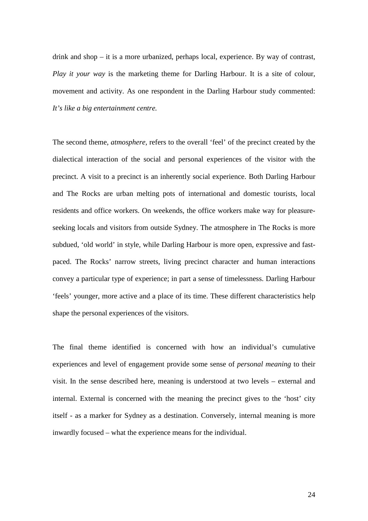drink and shop – it is a more urbanized, perhaps local, experience. By way of contrast, *Play it your way* is the marketing theme for Darling Harbour. It is a site of colour, movement and activity. As one respondent in the Darling Harbour study commented: *It's like a big entertainment centre.* 

The second theme, *atmosphere,* refers to the overall 'feel' of the precinct created by the dialectical interaction of the social and personal experiences of the visitor with the precinct. A visit to a precinct is an inherently social experience. Both Darling Harbour and The Rocks are urban melting pots of international and domestic tourists, local residents and office workers. On weekends, the office workers make way for pleasureseeking locals and visitors from outside Sydney. The atmosphere in The Rocks is more subdued, 'old world' in style, while Darling Harbour is more open, expressive and fastpaced. The Rocks' narrow streets, living precinct character and human interactions convey a particular type of experience; in part a sense of timelessness. Darling Harbour 'feels' younger, more active and a place of its time. These different characteristics help shape the personal experiences of the visitors.

The final theme identified is concerned with how an individual's cumulative experiences and level of engagement provide some sense of *personal meaning* to their visit. In the sense described here, meaning is understood at two levels – external and internal. External is concerned with the meaning the precinct gives to the 'host' city itself - as a marker for Sydney as a destination. Conversely, internal meaning is more inwardly focused – what the experience means for the individual.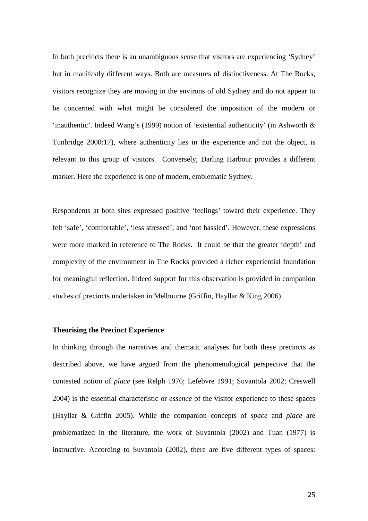In both precincts there is an unambiguous sense that visitors are experiencing 'Sydney' but in manifestly different ways. Both are measures of distinctiveness. At The Rocks, visitors recognize they are moving in the environs of old Sydney and do not appear to be concerned with what might be considered the imposition of the modern or 'inauthentic'. Indeed Wang's (1999) notion of 'existential authenticity' (in Ashworth & Tunbridge 2000:17), where authenticity lies in the experience and not the object, is relevant to this group of visitors. Conversely, Darling Harbour provides a different marker. Here the experience is one of modern, emblematic Sydney.

Respondents at both sites expressed positive 'feelings' toward their experience. They felt 'safe', 'comfortable', 'less stressed', and 'not hassled'. However, these expressions were more marked in reference to The Rocks. It could be that the greater 'depth' and complexity of the environment in The Rocks provided a richer experiential foundation for meaningful reflection. Indeed support for this observation is provided in companion studies of precincts undertaken in Melbourne (Griffin, Hayllar & King 2006).

# **Theorising the Precinct Experience**

In thinking through the narratives and thematic analyses for both these precincts as described above, we have argued from the phenomenological perspective that the contested notion of *place* (see Relph 1976; Lefebvre 1991; Suvantola 2002; Creswell 2004) is the essential characteristic or *essence* of the visitor experience to these spaces (Hayllar & Griffin 2005). While the companion concepts of *space* and *place* are problematized in the literature, the work of Suvantola (2002) and Tuan (1977) is instructive. According to Suvantola (2002), there are five different types of spaces: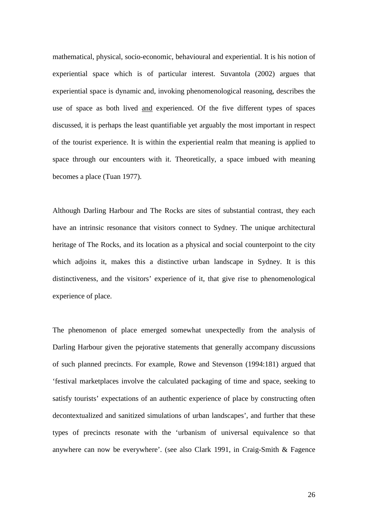mathematical, physical, socio-economic, behavioural and experiential. It is his notion of experiential space which is of particular interest. Suvantola (2002) argues that experiential space is dynamic and, invoking phenomenological reasoning, describes the use of space as both lived and experienced. Of the five different types of spaces discussed, it is perhaps the least quantifiable yet arguably the most important in respect of the tourist experience. It is within the experiential realm that meaning is applied to space through our encounters with it. Theoretically, a space imbued with meaning becomes a place (Tuan 1977).

Although Darling Harbour and The Rocks are sites of substantial contrast, they each have an intrinsic resonance that visitors connect to Sydney. The unique architectural heritage of The Rocks, and its location as a physical and social counterpoint to the city which adjoins it, makes this a distinctive urban landscape in Sydney. It is this distinctiveness, and the visitors' experience of it, that give rise to phenomenological experience of place.

The phenomenon of place emerged somewhat unexpectedly from the analysis of Darling Harbour given the pejorative statements that generally accompany discussions of such planned precincts. For example, Rowe and Stevenson (1994:181) argued that 'festival marketplaces involve the calculated packaging of time and space, seeking to satisfy tourists' expectations of an authentic experience of place by constructing often decontextualized and sanitized simulations of urban landscapes', and further that these types of precincts resonate with the 'urbanism of universal equivalence so that anywhere can now be everywhere'. (see also Clark 1991, in Craig-Smith & Fagence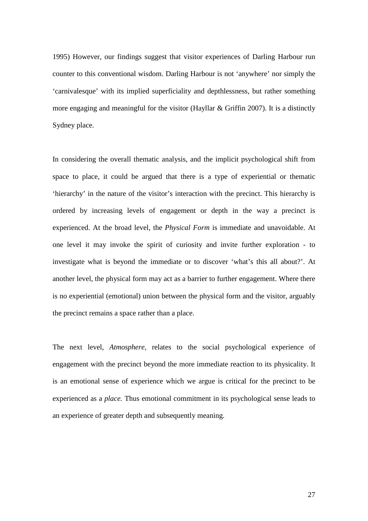1995) However, our findings suggest that visitor experiences of Darling Harbour run counter to this conventional wisdom. Darling Harbour is not 'anywhere' nor simply the 'carnivalesque' with its implied superficiality and depthlessness, but rather something more engaging and meaningful for the visitor (Hayllar & Griffin 2007). It is a distinctly Sydney place.

In considering the overall thematic analysis, and the implicit psychological shift from space to place, it could be argued that there is a type of experiential or thematic 'hierarchy' in the nature of the visitor's interaction with the precinct. This hierarchy is ordered by increasing levels of engagement or depth in the way a precinct is experienced. At the broad level, the *Physical Form* is immediate and unavoidable. At one level it may invoke the spirit of curiosity and invite further exploration - to investigate what is beyond the immediate or to discover 'what's this all about?'. At another level, the physical form may act as a barrier to further engagement. Where there is no experiential (emotional) union between the physical form and the visitor, arguably the precinct remains a space rather than a place.

The next level, *Atmosphere,* relates to the social psychological experience of engagement with the precinct beyond the more immediate reaction to its physicality. It is an emotional sense of experience which we argue is critical for the precinct to be experienced as a *place.* Thus emotional commitment in its psychological sense leads to an experience of greater depth and subsequently meaning.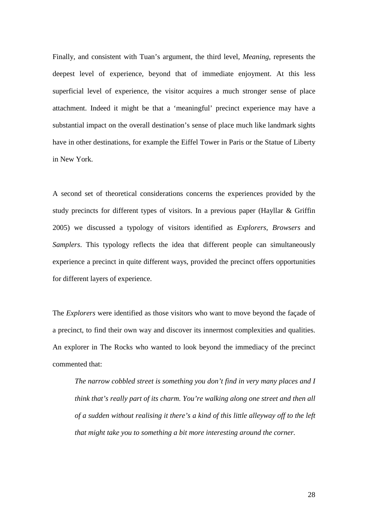Finally, and consistent with Tuan's argument, the third level, *Meaning*, represents the deepest level of experience, beyond that of immediate enjoyment. At this less superficial level of experience, the visitor acquires a much stronger sense of place attachment. Indeed it might be that a 'meaningful' precinct experience may have a substantial impact on the overall destination's sense of place much like landmark sights have in other destinations, for example the Eiffel Tower in Paris or the Statue of Liberty in New York.

A second set of theoretical considerations concerns the experiences provided by the study precincts for different types of visitors. In a previous paper (Hayllar & Griffin 2005) we discussed a typology of visitors identified as *Explorers*, *Browsers* and *Samplers*. This typology reflects the idea that different people can simultaneously experience a precinct in quite different ways, provided the precinct offers opportunities for different layers of experience.

The *Explorers* were identified as those visitors who want to move beyond the façade of a precinct, to find their own way and discover its innermost complexities and qualities. An explorer in The Rocks who wanted to look beyond the immediacy of the precinct commented that:

*The narrow cobbled street is something you don't find in very many places and I think that's really part of its charm. You're walking along one street and then all of a sudden without realising it there's a kind of this little alleyway off to the left that might take you to something a bit more interesting around the corner.*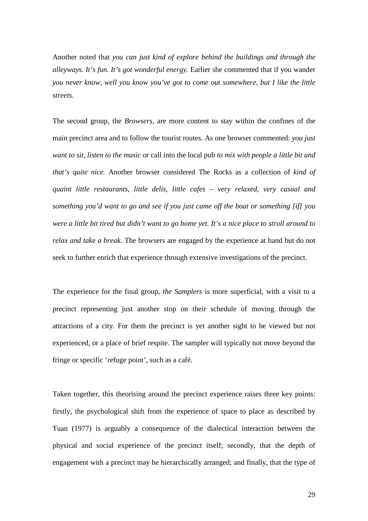Another noted that *you can just kind of explore behind the buildings and through the alleyways. It's fun. It's got wonderful energy.* Earlier she commented that if you wander *you never know, well you know you've got to come out somewhere, but I like the little streets.*

The second group, the *Browsers,* are more content to stay within the confines of the main precinct area and to follow the tourist routes. As one browser commented: *you just want to sit, listen to the music* or call into the local pub *to mix with people a little bit and that's quite nice.* Another browser considered The Rocks as a collection of *kind of quaint little restaurants, little delis, little cafes – very relaxed, very casual and something you'd want to go and see if you just came off the boat or something [if] you were a little bit tired but didn't want to go home yet. It's a nice place to stroll around to relax and take a break.* The browsers are engaged by the experience at hand but do not seek to further enrich that experience through extensive investigations of the precinct.

The experience for the final group, *the Samplers* is more superficial, with a visit to a precinct representing just another stop on their schedule of moving through the attractions of a city. For them the precinct is yet another sight to be viewed but not experienced, or a place of brief respite. The sampler will typically not move beyond the fringe or specific 'refuge point', such as a café.

Taken together, this theorising around the precinct experience raises three key points: firstly, the psychological shift from the experience of space to place as described by Tuan (1977) is arguably a consequence of the dialectical interaction between the physical and social experience of the precinct itself; secondly, that the depth of engagement with a precinct may be hierarchically arranged; and finally, that the type of

29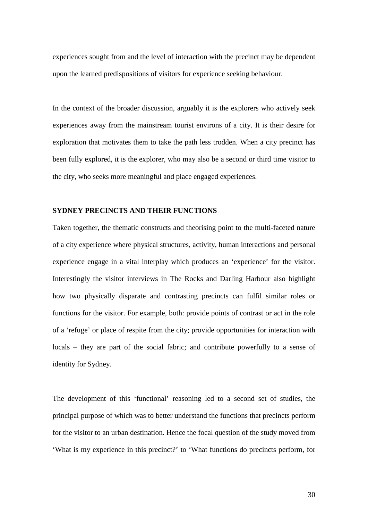experiences sought from and the level of interaction with the precinct may be dependent upon the learned predispositions of visitors for experience seeking behaviour.

In the context of the broader discussion, arguably it is the explorers who actively seek experiences away from the mainstream tourist environs of a city. It is their desire for exploration that motivates them to take the path less trodden. When a city precinct has been fully explored, it is the explorer, who may also be a second or third time visitor to the city, who seeks more meaningful and place engaged experiences.

# **SYDNEY PRECINCTS AND THEIR FUNCTIONS**

Taken together, the thematic constructs and theorising point to the multi-faceted nature of a city experience where physical structures, activity, human interactions and personal experience engage in a vital interplay which produces an 'experience' for the visitor. Interestingly the visitor interviews in The Rocks and Darling Harbour also highlight how two physically disparate and contrasting precincts can fulfil similar roles or functions for the visitor. For example, both: provide points of contrast or act in the role of a 'refuge' or place of respite from the city; provide opportunities for interaction with locals – they are part of the social fabric; and contribute powerfully to a sense of identity for Sydney.

The development of this 'functional' reasoning led to a second set of studies, the principal purpose of which was to better understand the functions that precincts perform for the visitor to an urban destination. Hence the focal question of the study moved from 'What is my experience in this precinct?' to 'What functions do precincts perform, for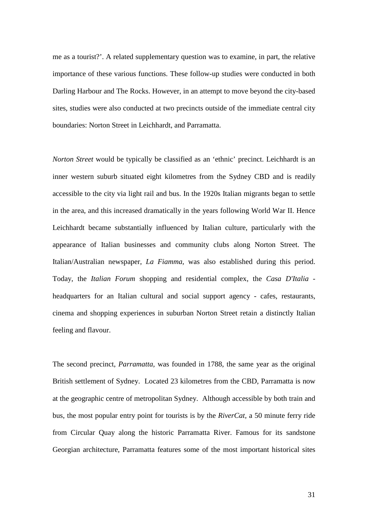me as a tourist?'. A related supplementary question was to examine, in part, the relative importance of these various functions. These follow-up studies were conducted in both Darling Harbour and The Rocks. However, in an attempt to move beyond the city-based sites, studies were also conducted at two precincts outside of the immediate central city boundaries: Norton Street in Leichhardt, and Parramatta.

*Norton Street* would be typically be classified as an 'ethnic' precinct. Leichhardt is an inner western suburb situated eight kilometres from the Sydney CBD and is readily accessible to the city via light rail and bus. In the 1920s Italian migrants began to settle in the area, and this increased dramatically in the years following World War II. Hence Leichhardt became substantially influenced by Italian culture, particularly with the appearance of Italian businesses and community clubs along Norton Street. The Italian/Australian newspaper, *La Fiamma*, was also established during this period. Today, the *Italian Forum* shopping and residential complex, the *Casa D'Italia*  headquarters for an Italian cultural and social support agency - cafes, restaurants, cinema and shopping experiences in suburban Norton Street retain a distinctly Italian feeling and flavour.

The second precinct, *Parramatta,* was founded in 1788, the same year as the original British settlement of Sydney. Located 23 kilometres from the CBD, Parramatta is now at the geographic centre of metropolitan Sydney. Although accessible by both train and bus, the most popular entry point for tourists is by the *RiverCat,* a 50 minute ferry ride from Circular Quay along the historic Parramatta River. Famous for its sandstone Georgian architecture, Parramatta features some of the most important historical sites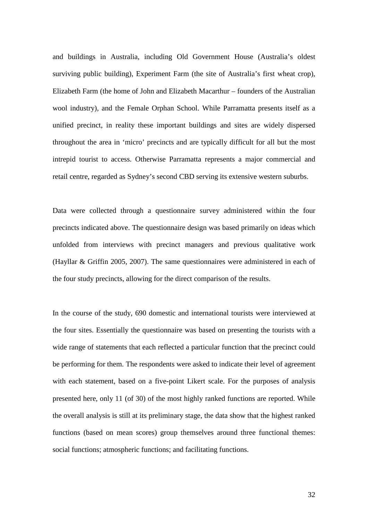and buildings in Australia, including Old Government House (Australia's oldest surviving public building), Experiment Farm (the site of Australia's first wheat crop), Elizabeth Farm (the home of John and Elizabeth Macarthur – founders of the Australian wool industry), and the Female Orphan School. While Parramatta presents itself as a unified precinct, in reality these important buildings and sites are widely dispersed throughout the area in 'micro' precincts and are typically difficult for all but the most intrepid tourist to access. Otherwise Parramatta represents a major commercial and retail centre, regarded as Sydney's second CBD serving its extensive western suburbs.

Data were collected through a questionnaire survey administered within the four precincts indicated above. The questionnaire design was based primarily on ideas which unfolded from interviews with precinct managers and previous qualitative work (Hayllar & Griffin 2005, 2007). The same questionnaires were administered in each of the four study precincts, allowing for the direct comparison of the results.

In the course of the study, 690 domestic and international tourists were interviewed at the four sites. Essentially the questionnaire was based on presenting the tourists with a wide range of statements that each reflected a particular function that the precinct could be performing for them. The respondents were asked to indicate their level of agreement with each statement, based on a five-point Likert scale. For the purposes of analysis presented here, only 11 (of 30) of the most highly ranked functions are reported. While the overall analysis is still at its preliminary stage, the data show that the highest ranked functions (based on mean scores) group themselves around three functional themes: social functions; atmospheric functions; and facilitating functions.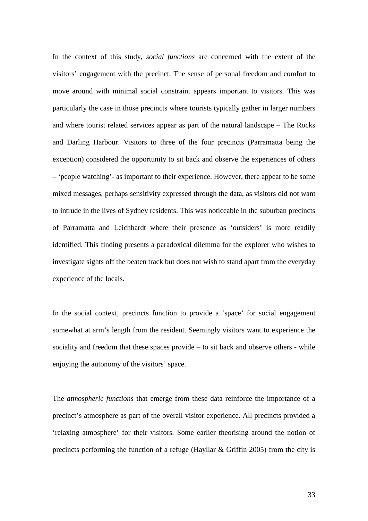In the context of this study, *social functions* are concerned with the extent of the visitors' engagement with the precinct. The sense of personal freedom and comfort to move around with minimal social constraint appears important to visitors. This was particularly the case in those precincts where tourists typically gather in larger numbers and where tourist related services appear as part of the natural landscape – The Rocks and Darling Harbour. Visitors to three of the four precincts (Parramatta being the exception) considered the opportunity to sit back and observe the experiences of others – 'people watching'- as important to their experience. However, there appear to be some mixed messages, perhaps sensitivity expressed through the data, as visitors did not want to intrude in the lives of Sydney residents. This was noticeable in the suburban precincts of Parramatta and Leichhardt where their presence as 'outsiders' is more readily identified. This finding presents a paradoxical dilemma for the explorer who wishes to investigate sights off the beaten track but does not wish to stand apart from the everyday experience of the locals.

In the social context, precincts function to provide a 'space' for social engagement somewhat at arm's length from the resident. Seemingly visitors want to experience the sociality and freedom that these spaces provide – to sit back and observe others - while enjoying the autonomy of the visitors' space.

The *atmospheric functions* that emerge from these data reinforce the importance of a precinct's atmosphere as part of the overall visitor experience. All precincts provided a 'relaxing atmosphere' for their visitors. Some earlier theorising around the notion of precincts performing the function of a refuge (Hayllar & Griffin 2005) from the city is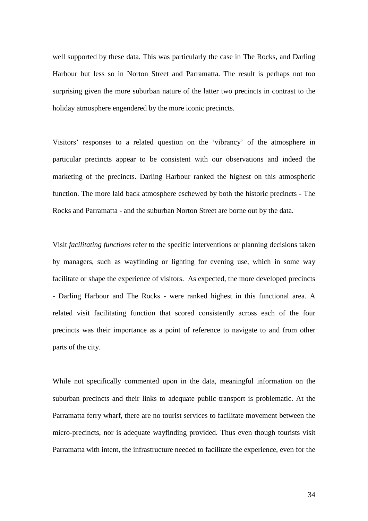well supported by these data. This was particularly the case in The Rocks, and Darling Harbour but less so in Norton Street and Parramatta. The result is perhaps not too surprising given the more suburban nature of the latter two precincts in contrast to the holiday atmosphere engendered by the more iconic precincts.

Visitors' responses to a related question on the 'vibrancy' of the atmosphere in particular precincts appear to be consistent with our observations and indeed the marketing of the precincts. Darling Harbour ranked the highest on this atmospheric function. The more laid back atmosphere eschewed by both the historic precincts - The Rocks and Parramatta - and the suburban Norton Street are borne out by the data.

Visit *facilitating functions* refer to the specific interventions or planning decisions taken by managers, such as wayfinding or lighting for evening use, which in some way facilitate or shape the experience of visitors. As expected, the more developed precincts - Darling Harbour and The Rocks - were ranked highest in this functional area. A related visit facilitating function that scored consistently across each of the four precincts was their importance as a point of reference to navigate to and from other parts of the city.

While not specifically commented upon in the data, meaningful information on the suburban precincts and their links to adequate public transport is problematic. At the Parramatta ferry wharf, there are no tourist services to facilitate movement between the micro-precincts, nor is adequate wayfinding provided. Thus even though tourists visit Parramatta with intent, the infrastructure needed to facilitate the experience, even for the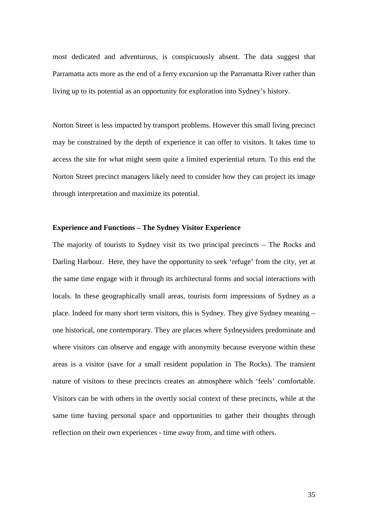most dedicated and adventurous, is conspicuously absent. The data suggest that Parramatta acts more as the end of a ferry excursion up the Parramatta River rather than living up to its potential as an opportunity for exploration into Sydney's history.

Norton Street is less impacted by transport problems. However this small living precinct may be constrained by the depth of experience it can offer to visitors. It takes time to access the site for what might seem quite a limited experiential return. To this end the Norton Street precinct managers likely need to consider how they can project its image through interpretation and maximize its potential.

## **Experience and Functions – The Sydney Visitor Experience**

The majority of tourists to Sydney visit its two principal precincts – The Rocks and Darling Harbour. Here, they have the opportunity to seek 'refuge' from the city, yet at the same time engage with it through its architectural forms and social interactions with locals. In these geographically small areas, tourists form impressions of Sydney as a place. Indeed for many short term visitors, this is Sydney. They give Sydney meaning – one historical, one contemporary. They are places where Sydneysiders predominate and where visitors can observe and engage with anonymity because everyone within these areas is a visitor (save for a small resident population in The Rocks). The transient nature of visitors to these precincts creates an atmosphere which 'feels' comfortable. Visitors can be with others in the overtly social context of these precincts, while at the same time having personal space and opportunities to gather their thoughts through reflection on their own experiences - time *away* from, and time *with* others.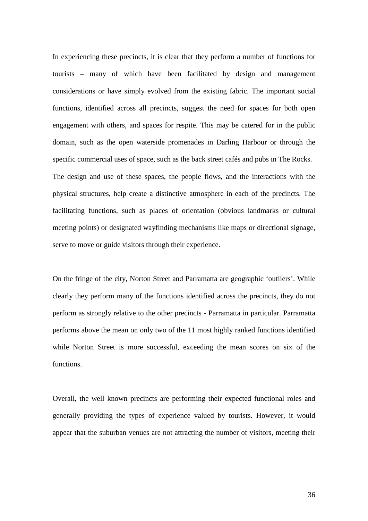In experiencing these precincts, it is clear that they perform a number of functions for tourists – many of which have been facilitated by design and management considerations or have simply evolved from the existing fabric. The important social functions, identified across all precincts, suggest the need for spaces for both open engagement with others, and spaces for respite. This may be catered for in the public domain, such as the open waterside promenades in Darling Harbour or through the specific commercial uses of space, such as the back street cafés and pubs in The Rocks. The design and use of these spaces, the people flows, and the interactions with the physical structures, help create a distinctive atmosphere in each of the precincts. The facilitating functions, such as places of orientation (obvious landmarks or cultural meeting points) or designated wayfinding mechanisms like maps or directional signage, serve to move or guide visitors through their experience.

On the fringe of the city, Norton Street and Parramatta are geographic 'outliers'. While clearly they perform many of the functions identified across the precincts, they do not perform as strongly relative to the other precincts - Parramatta in particular. Parramatta performs above the mean on only two of the 11 most highly ranked functions identified while Norton Street is more successful, exceeding the mean scores on six of the functions.

Overall, the well known precincts are performing their expected functional roles and generally providing the types of experience valued by tourists. However, it would appear that the suburban venues are not attracting the number of visitors, meeting their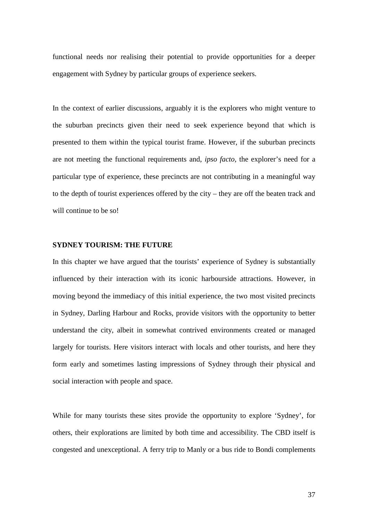functional needs nor realising their potential to provide opportunities for a deeper engagement with Sydney by particular groups of experience seekers.

In the context of earlier discussions, arguably it is the explorers who might venture to the suburban precincts given their need to seek experience beyond that which is presented to them within the typical tourist frame. However, if the suburban precincts are not meeting the functional requirements and, *ipso facto*, the explorer's need for a particular type of experience, these precincts are not contributing in a meaningful way to the depth of tourist experiences offered by the city – they are off the beaten track and will continue to be so!

## **SYDNEY TOURISM: THE FUTURE**

In this chapter we have argued that the tourists' experience of Sydney is substantially influenced by their interaction with its iconic harbourside attractions. However, in moving beyond the immediacy of this initial experience, the two most visited precincts in Sydney, Darling Harbour and Rocks, provide visitors with the opportunity to better understand the city, albeit in somewhat contrived environments created or managed largely for tourists. Here visitors interact with locals and other tourists, and here they form early and sometimes lasting impressions of Sydney through their physical and social interaction with people and space.

While for many tourists these sites provide the opportunity to explore 'Sydney', for others, their explorations are limited by both time and accessibility. The CBD itself is congested and unexceptional. A ferry trip to Manly or a bus ride to Bondi complements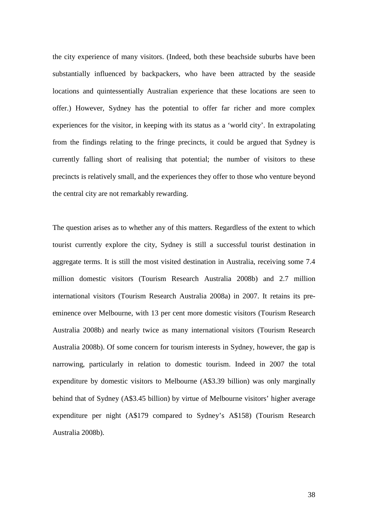the city experience of many visitors. (Indeed, both these beachside suburbs have been substantially influenced by backpackers, who have been attracted by the seaside locations and quintessentially Australian experience that these locations are seen to offer.) However, Sydney has the potential to offer far richer and more complex experiences for the visitor, in keeping with its status as a 'world city'. In extrapolating from the findings relating to the fringe precincts, it could be argued that Sydney is currently falling short of realising that potential; the number of visitors to these precincts is relatively small, and the experiences they offer to those who venture beyond the central city are not remarkably rewarding.

The question arises as to whether any of this matters. Regardless of the extent to which tourist currently explore the city, Sydney is still a successful tourist destination in aggregate terms. It is still the most visited destination in Australia, receiving some 7.4 million domestic visitors (Tourism Research Australia 2008b) and 2.7 million international visitors (Tourism Research Australia 2008a) in 2007. It retains its preeminence over Melbourne, with 13 per cent more domestic visitors (Tourism Research Australia 2008b) and nearly twice as many international visitors (Tourism Research Australia 2008b). Of some concern for tourism interests in Sydney, however, the gap is narrowing, particularly in relation to domestic tourism. Indeed in 2007 the total expenditure by domestic visitors to Melbourne (A\$3.39 billion) was only marginally behind that of Sydney (A\$3.45 billion) by virtue of Melbourne visitors' higher average expenditure per night (A\$179 compared to Sydney's A\$158) (Tourism Research Australia 2008b).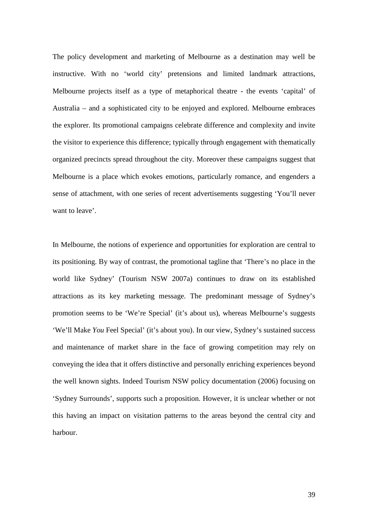The policy development and marketing of Melbourne as a destination may well be instructive. With no 'world city' pretensions and limited landmark attractions, Melbourne projects itself as a type of metaphorical theatre - the events 'capital' of Australia – and a sophisticated city to be enjoyed and explored. Melbourne embraces the explorer. Its promotional campaigns celebrate difference and complexity and invite the visitor to experience this difference; typically through engagement with thematically organized precincts spread throughout the city. Moreover these campaigns suggest that Melbourne is a place which evokes emotions, particularly romance, and engenders a sense of attachment, with one series of recent advertisements suggesting 'You'll never want to leave'.

In Melbourne, the notions of experience and opportunities for exploration are central to its positioning. By way of contrast, the promotional tagline that 'There's no place in the world like Sydney' (Tourism NSW 2007a) continues to draw on its established attractions as its key marketing message. The predominant message of Sydney's promotion seems to be 'We're Special' (it's about us), whereas Melbourne's suggests 'We'll Make *You* Feel Special' (it's about you). In our view, Sydney's sustained success and maintenance of market share in the face of growing competition may rely on conveying the idea that it offers distinctive and personally enriching experiences beyond the well known sights. Indeed Tourism NSW policy documentation (2006) focusing on 'Sydney Surrounds', supports such a proposition. However, it is unclear whether or not this having an impact on visitation patterns to the areas beyond the central city and harbour.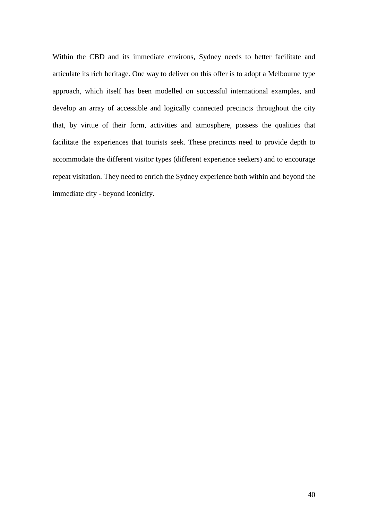Within the CBD and its immediate environs, Sydney needs to better facilitate and articulate its rich heritage. One way to deliver on this offer is to adopt a Melbourne type approach, which itself has been modelled on successful international examples, and develop an array of accessible and logically connected precincts throughout the city that, by virtue of their form, activities and atmosphere, possess the qualities that facilitate the experiences that tourists seek. These precincts need to provide depth to accommodate the different visitor types (different experience seekers) and to encourage repeat visitation. They need to enrich the Sydney experience both within and beyond the immediate city - beyond iconicity.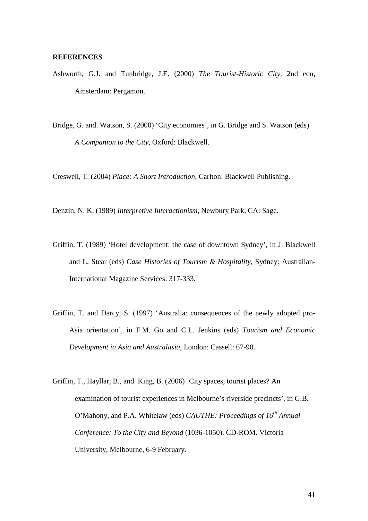#### **REFERENCES**

- Ashworth, G.J. and Tunbridge, J.E. (2000) *The Tourist-Historic City,* 2nd edn, Amsterdam: Pergamon.
- Bridge, G. and. Watson, S. (2000) 'City economies', in G. Bridge and S. Watson (eds) *A Companion to the City*, Oxford: Blackwell.

Creswell, T. (2004) *Place: A Short Introduction*, Carlton: Blackwell Publishing.

Denzin, N. K. (1989) *Interpretive Interactionism,* Newbury Park, CA: Sage.

- Griffin, T. (1989) 'Hotel development: the case of downtown Sydney', in J. Blackwell and L. Stear (eds) *Case Histories of Tourism & Hospitality*, Sydney: Australian-International Magazine Services: 317-333.
- Griffin, T. and Darcy, S. (1997) 'Australia: consequences of the newly adopted pro-Asia orientation', in F.M. Go and C.L. Jenkins (eds) *Tourism and Economic Development in Asia and Australasia*, London: Cassell: 67-90.
- Griffin, T., Hayllar, B., and King, B. (2006) 'City spaces, tourist places? An examination of tourist experiences in Melbourne's riverside precincts', in G.B. O'Mahony, and P.A. Whitelaw (eds) *CAUTHE: Proceedings of 16<sup>th</sup> Annual Conference: To the City and Beyond* (1036-1050). CD-ROM. Victoria University, Melbourne, 6-9 February.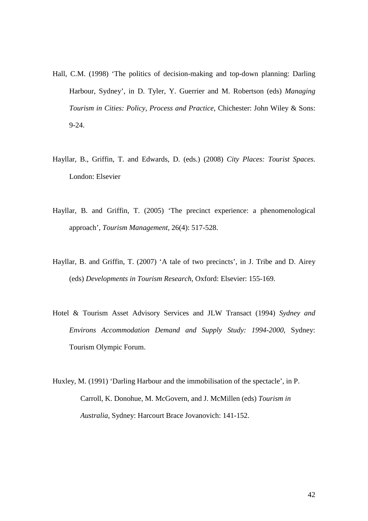- Hall, C.M. (1998) 'The politics of decision-making and top-down planning: Darling Harbour, Sydney', in D. Tyler, Y. Guerrier and M. Robertson (eds) *Managing Tourism in Cities: Policy, Process and Practice*, Chichester: John Wiley & Sons: 9-24.
- Hayllar, B., Griffin, T. and Edwards, D. (eds.) (2008) *City Places: Tourist Spaces*. London: Elsevier
- Hayllar, B. and Griffin, T. (2005) 'The precinct experience: a phenomenological approach'*, Tourism Management*, 26(4): 517-528.
- Hayllar, B. and Griffin, T. (2007) 'A tale of two precincts', in J. Tribe and D. Airey (eds) *Developments in Tourism Research*, Oxford: Elsevier: 155-169.
- Hotel & Tourism Asset Advisory Services and JLW Transact (1994) *Sydney and Environs Accommodation Demand and Supply Study: 1994-2000*, Sydney: Tourism Olympic Forum.

Huxley, M. (1991) 'Darling Harbour and the immobilisation of the spectacle', in P. Carroll, K. Donohue, M. McGovern, and J. McMillen (eds) *Tourism in Australia*, Sydney: Harcourt Brace Jovanovich: 141-152.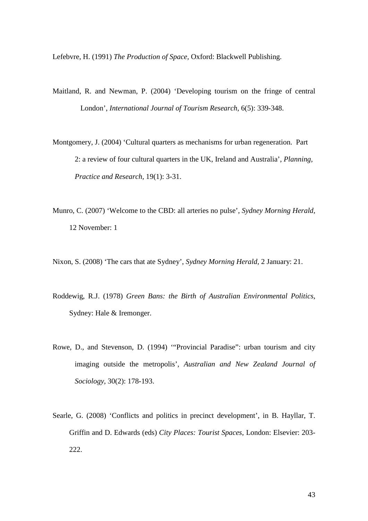Lefebvre, H. (1991) *The Production of Space,* Oxford: Blackwell Publishing.

- Maitland, R. and Newman, P. (2004) 'Developing tourism on the fringe of central London', *International Journal of Tourism Research*, 6(5): 339-348.
- Montgomery, J. (2004) 'Cultural quarters as mechanisms for urban regeneration. Part 2: a review of four cultural quarters in the UK, Ireland and Australia', *Planning, Practice and Research,* 19(1): 3-31.
- Munro, C. (2007) 'Welcome to the CBD: all arteries no pulse', *Sydney Morning Herald,* 12 November: 1
- Nixon, S. (2008) 'The cars that ate Sydney', *Sydney Morning Herald,* 2 January: 21.
- Roddewig, R.J. (1978) *Green Bans: the Birth of Australian Environmental Politics*, Sydney: Hale & Iremonger.
- Rowe, D., and Stevenson, D. (1994) '"Provincial Paradise": urban tourism and city imaging outside the metropolis', *Australian and New Zealand Journal of Sociology*, 30(2): 178-193.
- Searle, G. (2008) 'Conflicts and politics in precinct development', in B. Hayllar, T. Griffin and D. Edwards (eds) *City Places: Tourist Spaces*, London: Elsevier: 203- 222.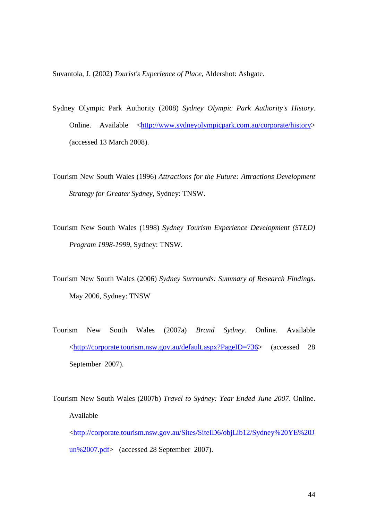Suvantola, J. (2002) *Tourist's Experience of Place*, Aldershot: Ashgate.

- Sydney Olympic Park Authority (2008) *Sydney Olympic Park Authority's History*. Online. Available [<http://www.sydneyolympicpark.com.au/corporate/history>](http://www.sydneyolympicpark.com.au/corporate/history) (accessed 13 March 2008).
- Tourism New South Wales (1996) *Attractions for the Future: Attractions Development Strategy for Greater Sydney*, Sydney: TNSW.
- Tourism New South Wales (1998) *Sydney Tourism Experience Development (STED) Program 1998-1999*, Sydney: TNSW.
- Tourism New South Wales (2006) *Sydney Surrounds: Summary of Research Findings*. May 2006, Sydney: TNSW
- Tourism New South Wales (2007a) *Brand Sydney.* Online. Available [<http://corporate.tourism.nsw.gov.au/default.aspx?PageID=736>](http://corporate.tourism.nsw.gov.au/default.aspx?PageID=736) (accessed 28 September 2007).

Tourism New South Wales (2007b) *Travel to Sydney: Year Ended June 2007*. Online. Available [<http://corporate.tourism.nsw.gov.au/Sites/SiteID6/objLib12/Sydney%20YE%20J](http://corporate.tourism.nsw.gov.au/Sites/SiteID6/objLib12/Sydney%20YE%20Jun%2007.pdf) [un%2007.pdf>](http://corporate.tourism.nsw.gov.au/Sites/SiteID6/objLib12/Sydney%20YE%20Jun%2007.pdf) (accessed 28 September 2007).